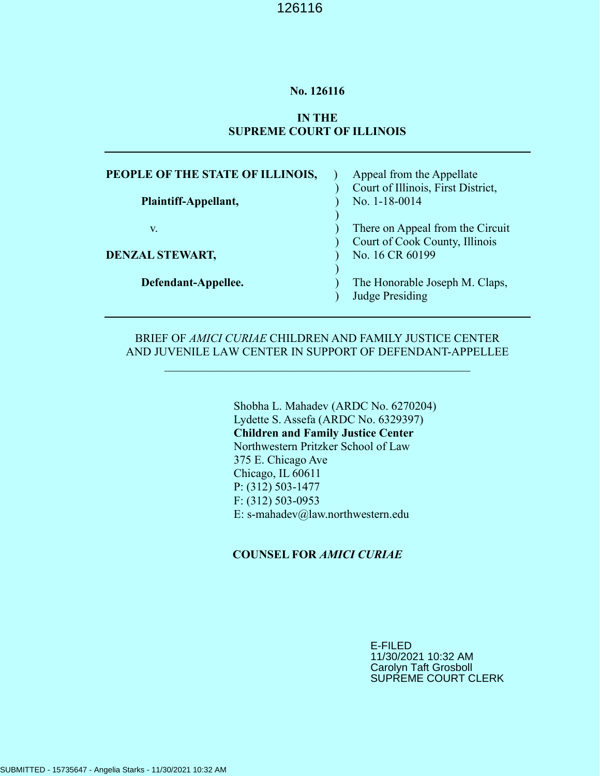#### **No. 126116**

#### **IN THE SUPREME COURT OF ILLINOIS**

| PEOPLE OF THE STATE OF ILLINOIS, | Appeal from the Appellate          |
|----------------------------------|------------------------------------|
|                                  | Court of Illinois, First District, |
| Plaintiff-Appellant,             | No. 1-18-0014                      |
| V.                               | There on Appeal from the Circuit   |
|                                  | Court of Cook County, Illinois     |
| <b>DENZAL STEWART,</b>           | No. 16 CR 60199                    |
|                                  |                                    |
| Defendant-Appellee.              | The Honorable Joseph M. Claps,     |
|                                  | <b>Judge Presiding</b>             |

#### BRIEF OF *AMICI CURIAE* CHILDREN AND FAMILY JUSTICE CENTER AND JUVENILE LAW CENTER IN SUPPORT OF DEFENDANT-APPELLEE

 $\mathcal{L}_\text{max} = \mathcal{L}_\text{max} = \mathcal{L}_\text{max} = \mathcal{L}_\text{max} = \mathcal{L}_\text{max} = \mathcal{L}_\text{max} = \mathcal{L}_\text{max} = \mathcal{L}_\text{max} = \mathcal{L}_\text{max} = \mathcal{L}_\text{max} = \mathcal{L}_\text{max} = \mathcal{L}_\text{max} = \mathcal{L}_\text{max} = \mathcal{L}_\text{max} = \mathcal{L}_\text{max} = \mathcal{L}_\text{max} = \mathcal{L}_\text{max} = \mathcal{L}_\text{max} = \mathcal{$ 

Shobha L. Mahadev (ARDC No. 6270204) Lydette S. Assefa (ARDC No. 6329397) **Children and Family Justice Center** Northwestern Pritzker School of Law 375 E. Chicago Ave Chicago, IL 60611 P: (312) 503-1477 F: (312) 503-0953 E: s-mahadev@law.northwestern.edu

#### **COUNSEL FOR** *AMICI CURIAE*

E-FILED 11/30/2021 10:32 AM Carolyn Taft Grosboll SUPREME COURT CLERK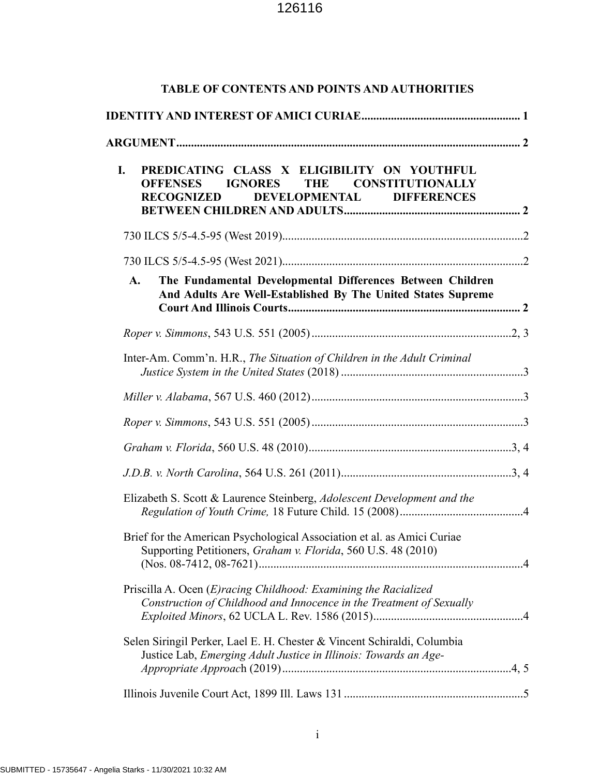| <b>TABLE OF CONTENTS AND POINTS AND AUTHORITIES</b>                                                                                          |  |  |
|----------------------------------------------------------------------------------------------------------------------------------------------|--|--|
|                                                                                                                                              |  |  |
|                                                                                                                                              |  |  |
| PREDICATING CLASS X ELIGIBILITY ON YOUTHFUL<br>I.<br>IGNORES THE CONSTITUTIONALLY<br><b>OFFENSES</b><br>RECOGNIZED DEVELOPMENTAL DIFFERENCES |  |  |
|                                                                                                                                              |  |  |
|                                                                                                                                              |  |  |
| The Fundamental Developmental Differences Between Children<br>A.<br>And Adults Are Well-Established By The United States Supreme             |  |  |
|                                                                                                                                              |  |  |
| Inter-Am. Comm'n. H.R., The Situation of Children in the Adult Criminal                                                                      |  |  |
|                                                                                                                                              |  |  |
|                                                                                                                                              |  |  |
|                                                                                                                                              |  |  |
|                                                                                                                                              |  |  |
| Elizabeth S. Scott & Laurence Steinberg, Adolescent Development and the                                                                      |  |  |
| Brief for the American Psychological Association et al. as Amici Curiae<br>Supporting Petitioners, Graham v. Florida, 560 U.S. 48 (2010)     |  |  |
| Priscilla A. Ocen (E)racing Childhood: Examining the Racialized<br>Construction of Childhood and Innocence in the Treatment of Sexually      |  |  |
| Selen Siringil Perker, Lael E. H. Chester & Vincent Schiraldi, Columbia<br>Justice Lab, Emerging Adult Justice in Illinois: Towards an Age-  |  |  |
|                                                                                                                                              |  |  |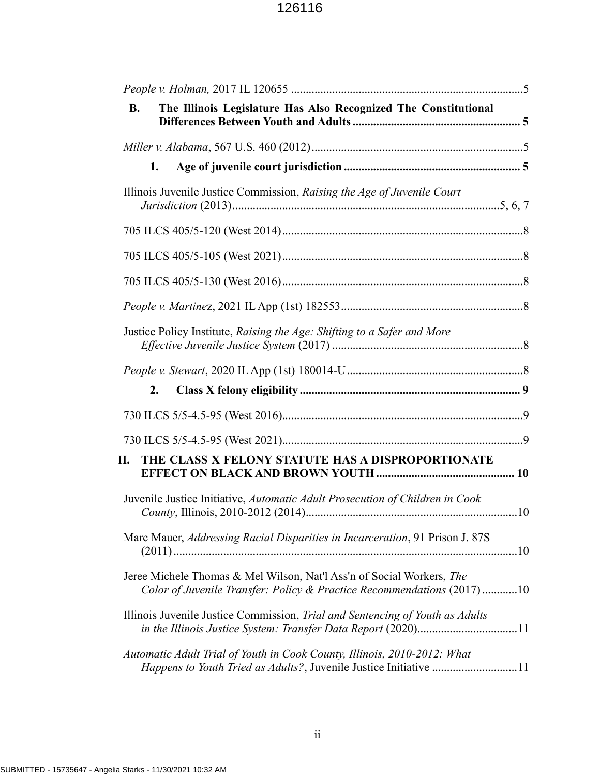| The Illinois Legislature Has Also Recognized The Constitutional<br><b>B.</b>                                                                    |  |
|-------------------------------------------------------------------------------------------------------------------------------------------------|--|
|                                                                                                                                                 |  |
| 1.                                                                                                                                              |  |
| Illinois Juvenile Justice Commission, Raising the Age of Juvenile Court                                                                         |  |
|                                                                                                                                                 |  |
|                                                                                                                                                 |  |
|                                                                                                                                                 |  |
|                                                                                                                                                 |  |
| Justice Policy Institute, Raising the Age: Shifting to a Safer and More                                                                         |  |
|                                                                                                                                                 |  |
| 2.                                                                                                                                              |  |
|                                                                                                                                                 |  |
|                                                                                                                                                 |  |
| THE CLASS X FELONY STATUTE HAS A DISPROPORTIONATE<br>П.                                                                                         |  |
| Juvenile Justice Initiative, Automatic Adult Prosecution of Children in Cook                                                                    |  |
| Marc Mauer, Addressing Racial Disparities in Incarceration, 91 Prison J. 87S                                                                    |  |
| Jeree Michele Thomas & Mel Wilson, Nat'l Ass'n of Social Workers, The<br>Color of Juvenile Transfer: Policy & Practice Recommendations (2017)10 |  |
| Illinois Juvenile Justice Commission, Trial and Sentencing of Youth as Adults                                                                   |  |
| Automatic Adult Trial of Youth in Cook County, Illinois, 2010-2012: What<br>Happens to Youth Tried as Adults?, Juvenile Justice Initiative 11   |  |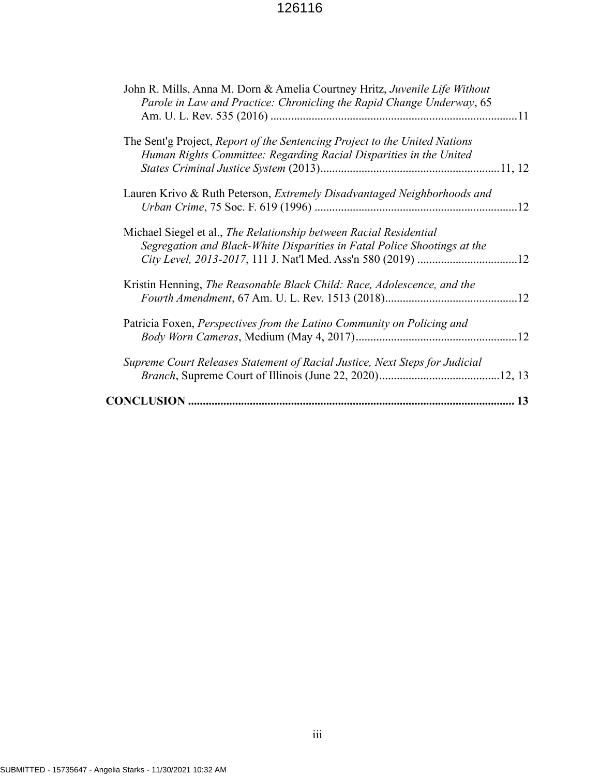| John R. Mills, Anna M. Dorn & Amelia Courtney Hritz, Juvenile Life Without<br>Parole in Law and Practice: Chronicling the Rapid Change Underway, 65 |  |
|-----------------------------------------------------------------------------------------------------------------------------------------------------|--|
|                                                                                                                                                     |  |
| The Sent'g Project, Report of the Sentencing Project to the United Nations                                                                          |  |
| Human Rights Committee: Regarding Racial Disparities in the United                                                                                  |  |
|                                                                                                                                                     |  |
| Lauren Krivo & Ruth Peterson, Extremely Disadvantaged Neighborhoods and                                                                             |  |
|                                                                                                                                                     |  |
| Michael Siegel et al., The Relationship between Racial Residential                                                                                  |  |
| Segregation and Black-White Disparities in Fatal Police Shootings at the                                                                            |  |
|                                                                                                                                                     |  |
| Kristin Henning, The Reasonable Black Child: Race, Adolescence, and the                                                                             |  |
|                                                                                                                                                     |  |
|                                                                                                                                                     |  |
| Patricia Foxen, Perspectives from the Latino Community on Policing and                                                                              |  |
|                                                                                                                                                     |  |
| Supreme Court Releases Statement of Racial Justice, Next Steps for Judicial                                                                         |  |
|                                                                                                                                                     |  |
|                                                                                                                                                     |  |
|                                                                                                                                                     |  |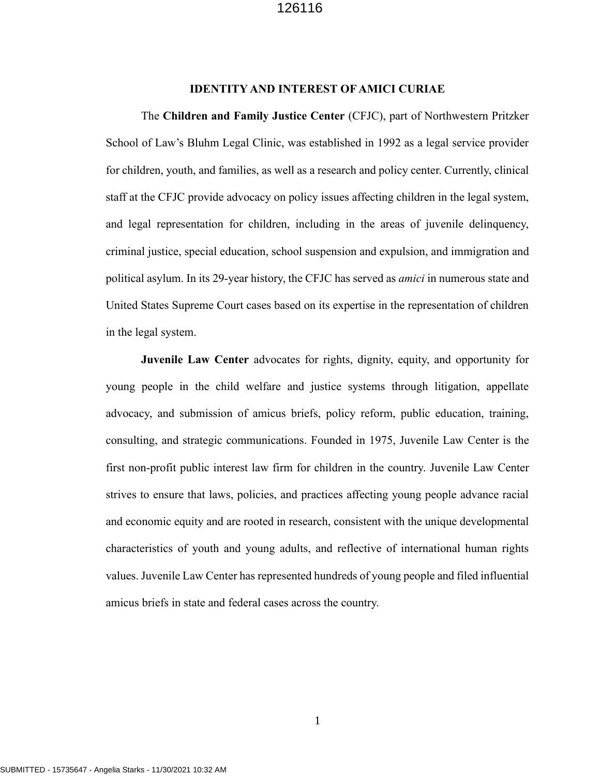#### **IDENTITY AND INTEREST OF AMICI CURIAE**

The **Children and Family Justice Center** (CFJC), part of Northwestern Pritzker School of Law's Bluhm Legal Clinic, was established in 1992 as a legal service provider for children, youth, and families, as well as a research and policy center. Currently, clinical staff at the CFJC provide advocacy on policy issues affecting children in the legal system, and legal representation for children, including in the areas of juvenile delinquency, criminal justice, special education, school suspension and expulsion, and immigration and political asylum. In its 29-year history, the CFJC has served as *amici* in numerous state and United States Supreme Court cases based on its expertise in the representation of children in the legal system.

**Juvenile Law Center** advocates for rights, dignity, equity, and opportunity for young people in the child welfare and justice systems through litigation, appellate advocacy, and submission of amicus briefs, policy reform, public education, training, consulting, and strategic communications. Founded in 1975, Juvenile Law Center is the first non-profit public interest law firm for children in the country. Juvenile Law Center strives to ensure that laws, policies, and practices affecting young people advance racial and economic equity and are rooted in research, consistent with the unique developmental characteristics of youth and young adults, and reflective of international human rights values. Juvenile Law Center has represented hundreds of young people and filed influential amicus briefs in state and federal cases across the country.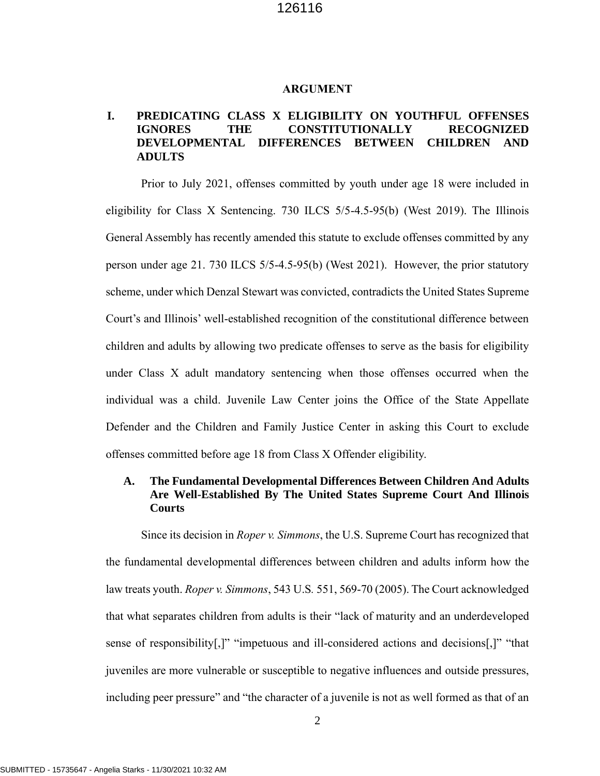#### <span id="page-5-0"></span>**ARGUMENT**

### **I. PREDICATING CLASS X ELIGIBILITY ON YOUTHFUL OFFENSES IGNORES THE CONSTITUTIONALLY RECOGNIZED DEVELOPMENTAL DIFFERENCES BETWEEN CHILDREN AND ADULTS**

<span id="page-5-1"></span>Prior to July 2021, offenses committed by youth under age 18 were included in eligibility for Class X Sentencing. 730 ILCS 5/5-4.5-95(b) (West 2019). The Illinois General Assembly has recently amended this statute to exclude offenses committed by any person under age 21. 730 ILCS 5/5-4.5-95(b) (West 2021). However, the prior statutory scheme, under which Denzal Stewart was convicted, contradicts the United States Supreme Court's and Illinois' well-established recognition of the constitutional difference between children and adults by allowing two predicate offenses to serve as the basis for eligibility under Class X adult mandatory sentencing when those offenses occurred when the individual was a child. Juvenile Law Center joins the Office of the State Appellate Defender and the Children and Family Justice Center in asking this Court to exclude offenses committed before age 18 from Class X Offender eligibility.

### **A. The Fundamental Developmental Differences Between Children And Adults Are Well-Established By The United States Supreme Court And Illinois Courts**

<span id="page-5-2"></span>Since its decision in *Roper v. Simmons*, the U.S. Supreme Court has recognized that the fundamental developmental differences between children and adults inform how the law treats youth. *Roper v. Simmons*, 543 U.S*.* 551, 569-70 (2005). The Court acknowledged that what separates children from adults is their "lack of maturity and an underdeveloped sense of responsibility[,]" "impetuous and ill-considered actions and decisions[,]" "that juveniles are more vulnerable or susceptible to negative influences and outside pressures, including peer pressure" and "the character of a juvenile is not as well formed as that of an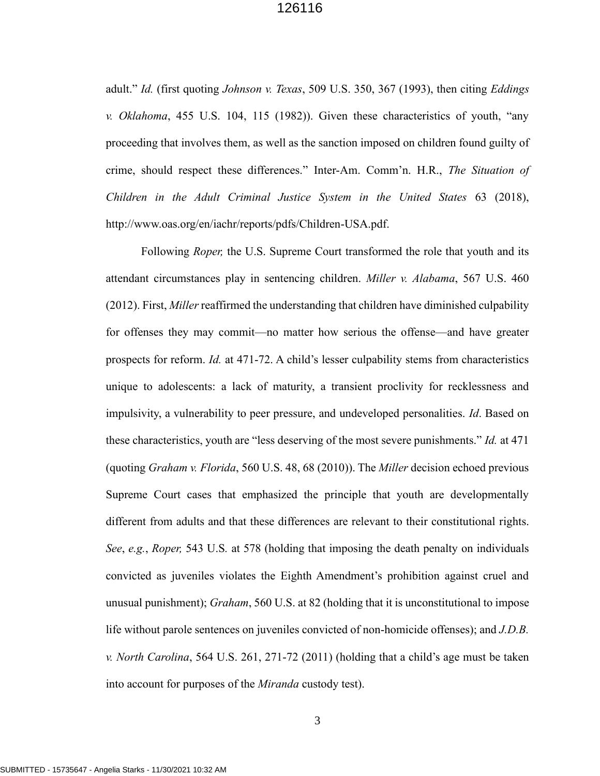<span id="page-6-1"></span><span id="page-6-0"></span>adult." *Id.* (first quoting *Johnson v. Texas*, 509 U.S. 350, 367 (1993), then citing *Eddings v. Oklahoma*, 455 U.S. 104, 115 (1982)). Given these characteristics of youth, "any proceeding that involves them, as well as the sanction imposed on children found guilty of crime, should respect these differences." Inter-Am. Comm'n. H.R., *The Situation of Children in the Adult Criminal Justice System in the United States* 63 (2018), http://www.oas.org/en/iachr/reports/pdfs/Children-USA.pdf.

<span id="page-6-5"></span><span id="page-6-4"></span><span id="page-6-3"></span><span id="page-6-2"></span>Following *Roper,* the U.S. Supreme Court transformed the role that youth and its attendant circumstances play in sentencing children. *Miller v. Alabama*, 567 U.S. 460 (2012). First, *Miller* reaffirmed the understanding that children have diminished culpability for offenses they may commit—no matter how serious the offense—and have greater prospects for reform. *Id.* at 471-72. A child's lesser culpability stems from characteristics unique to adolescents: a lack of maturity, a transient proclivity for recklessness and impulsivity, a vulnerability to peer pressure, and undeveloped personalities. *Id*. Based on these characteristics, youth are "less deserving of the most severe punishments." *Id.* at 471 (quoting *Graham v. Florida*, 560 U.S. 48, 68 (2010)). The *Miller* decision echoed previous Supreme Court cases that emphasized the principle that youth are developmentally different from adults and that these differences are relevant to their constitutional rights. *See*, *e.g.*, *Roper,* 543 U.S*.* at 578 (holding that imposing the death penalty on individuals convicted as juveniles violates the Eighth Amendment's prohibition against cruel and unusual punishment); *Graham*, 560 U.S. at 82 (holding that it is unconstitutional to impose life without parole sentences on juveniles convicted of non-homicide offenses); and *J.D.B. v. North Carolina*, 564 U.S. 261, 271-72 (2011) (holding that a child's age must be taken into account for purposes of the *Miranda* custody test).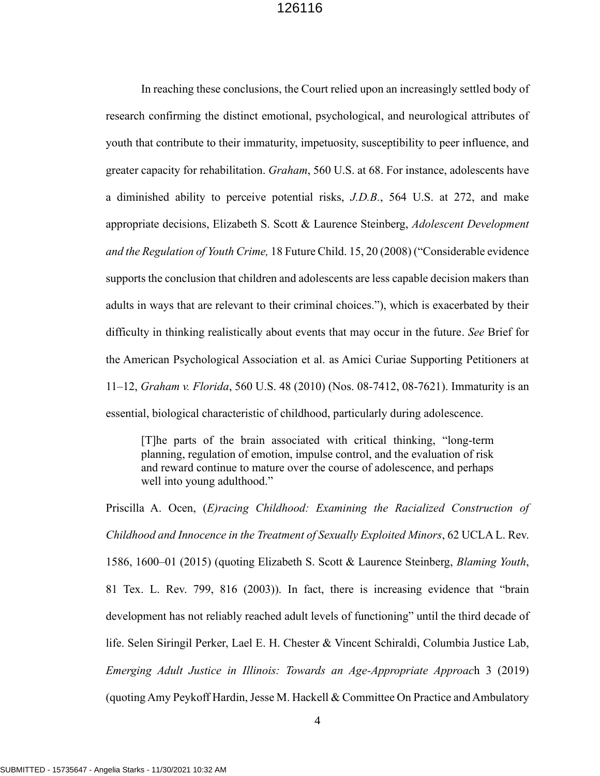<span id="page-7-2"></span><span id="page-7-1"></span><span id="page-7-0"></span>In reaching these conclusions, the Court relied upon an increasingly settled body of research confirming the distinct emotional, psychological, and neurological attributes of youth that contribute to their immaturity, impetuosity, susceptibility to peer influence, and greater capacity for rehabilitation. *Graham*, 560 U.S. at 68. For instance, adolescents have a diminished ability to perceive potential risks, *J.D.B.*, 564 U.S. at 272, and make appropriate decisions, Elizabeth S. Scott & Laurence Steinberg, *Adolescent Development and the Regulation of Youth Crime,* 18 Future Child. 15, 20 (2008) ("Considerable evidence supports the conclusion that children and adolescents are less capable decision makers than adults in ways that are relevant to their criminal choices."), which is exacerbated by their difficulty in thinking realistically about events that may occur in the future. *See* Brief for the American Psychological Association et al. as Amici Curiae Supporting Petitioners at 11–12, *Graham v. Florida*, 560 U.S. 48 (2010) (Nos. 08-7412, 08-7621). Immaturity is an essential, biological characteristic of childhood, particularly during adolescence.

<span id="page-7-3"></span>[T]he parts of the brain associated with critical thinking, "long-term planning, regulation of emotion, impulse control, and the evaluation of risk and reward continue to mature over the course of adolescence, and perhaps well into young adulthood."

<span id="page-7-5"></span><span id="page-7-4"></span>Priscilla A. Ocen, (*E)racing Childhood: Examining the Racialized Construction of Childhood and Innocence in the Treatment of Sexually Exploited Minors*, 62 UCLA L. Rev. 1586, 1600–01 (2015) (quoting Elizabeth S. Scott & Laurence Steinberg, *Blaming Youth*, 81 Tex. L. Rev. 799, 816 (2003)). In fact, there is increasing evidence that "brain development has not reliably reached adult levels of functioning" until the third decade of life. Selen Siringil Perker, Lael E. H. Chester & Vincent Schiraldi, Columbia Justice Lab, *Emerging Adult Justice in Illinois: Towards an Age-Appropriate Approac*h 3 (2019) (quotingAmy Peykoff Hardin, Jesse M. Hackell & Committee On Practice and Ambulatory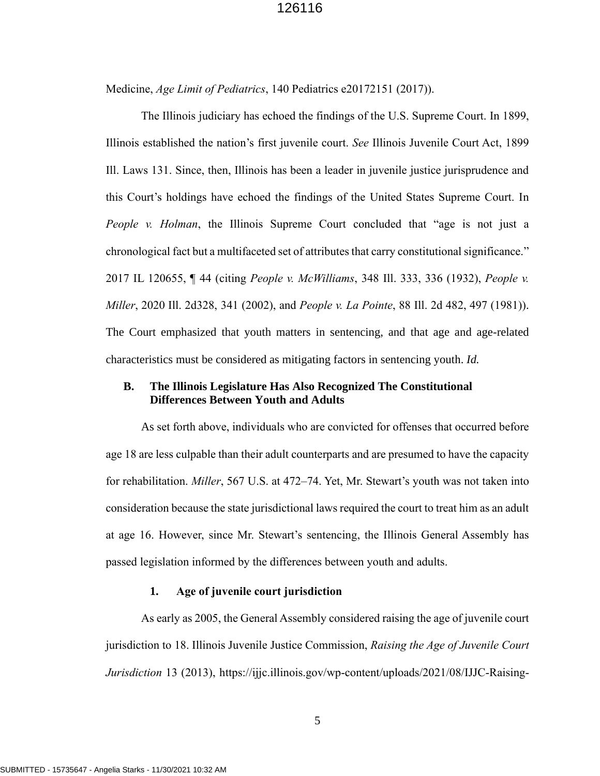Medicine, *Age Limit of Pediatrics*, 140 Pediatrics e20172151 (2017)).

<span id="page-8-1"></span><span id="page-8-0"></span>The Illinois judiciary has echoed the findings of the U.S. Supreme Court. In 1899, Illinois established the nation's first juvenile court. *See* Illinois Juvenile Court Act, 1899 Ill. Laws 131. Since, then, Illinois has been a leader in juvenile justice jurisprudence and this Court's holdings have echoed the findings of the United States Supreme Court. In *People v. Holman*, the Illinois Supreme Court concluded that "age is not just a chronological fact but a multifaceted set of attributes that carry constitutional significance." 2017 IL 120655, ¶ 44 (citing *People v. McWilliams*, 348 Ill. 333, 336 (1932), *People v. Miller*, 2020 Ill. 2d328, 341 (2002), and *People v. La Pointe*, 88 Ill. 2d 482, 497 (1981)). The Court emphasized that youth matters in sentencing, and that age and age-related characteristics must be considered as mitigating factors in sentencing youth. *Id.*

### **B. The Illinois Legislature Has Also Recognized The Constitutional Differences Between Youth and Adults**

<span id="page-8-2"></span>As set forth above, individuals who are convicted for offenses that occurred before age 18 are less culpable than their adult counterparts and are presumed to have the capacity for rehabilitation. *Miller*, 567 U.S. at 472–74. Yet, Mr. Stewart's youth was not taken into consideration because the state jurisdictional laws required the court to treat him as an adult at age 16. However, since Mr. Stewart's sentencing, the Illinois General Assembly has passed legislation informed by the differences between youth and adults.

#### <span id="page-8-3"></span>**1. Age of juvenile court jurisdiction**

As early as 2005, the General Assembly considered raising the age of juvenile court jurisdiction to 18. Illinois Juvenile Justice Commission, *Raising the Age of Juvenile Court Jurisdiction* 13 (2013), https://ijjc.illinois.gov/wp-content/uploads/2021/08/IJJC-Raising-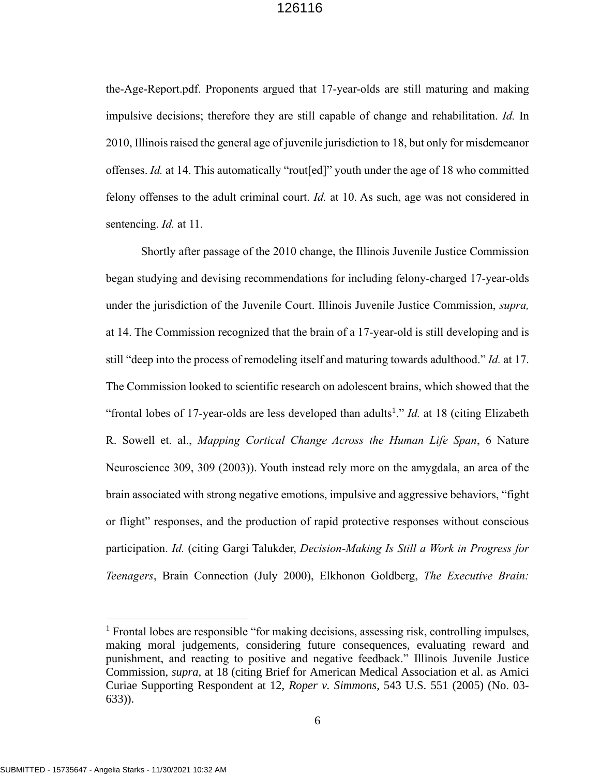<span id="page-9-0"></span>the-Age-Report.pdf. Proponents argued that 17-year-olds are still maturing and making impulsive decisions; therefore they are still capable of change and rehabilitation. *Id.* In 2010, Illinois raised the general age of juvenile jurisdiction to 18, but only for misdemeanor offenses. *Id.* at 14. This automatically "rout[ed]" youth under the age of 18 who committed felony offenses to the adult criminal court. *Id.* at 10. As such, age was not considered in sentencing. *Id.* at 11.

Shortly after passage of the 2010 change, the Illinois Juvenile Justice Commission began studying and devising recommendations for including felony-charged 17-year-olds under the jurisdiction of the Juvenile Court. Illinois Juvenile Justice Commission, *supra,* at 14. The Commission recognized that the brain of a 17-year-old is still developing and is still "deep into the process of remodeling itself and maturing towards adulthood." *Id.* at 17. The Commission looked to scientific research on adolescent brains, which showed that the "frontal lobes of 17-year-olds are less developed than adults<sup>1</sup>." *Id.* at 18 (citing Elizabeth R. Sowell et. al., *Mapping Cortical Change Across the Human Life Span*, 6 Nature Neuroscience 309, 309 (2003)). Youth instead rely more on the amygdala, an area of the brain associated with strong negative emotions, impulsive and aggressive behaviors, "fight or flight" responses, and the production of rapid protective responses without conscious participation. *Id.* (citing Gargi Talukder, *Decision-Making Is Still a Work in Progress for Teenagers*, Brain Connection (July 2000), Elkhonon Goldberg, *The Executive Brain:* 

<sup>&</sup>lt;sup>1</sup> Frontal lobes are responsible "for making decisions, assessing risk, controlling impulses, making moral judgements, considering future consequences, evaluating reward and punishment, and reacting to positive and negative feedback." Illinois Juvenile Justice Commission, *supra,* at 18 (citing Brief for American Medical Association et al. as Amici Curiae Supporting Respondent at 12, *Roper v. Simmons*, 543 U.S. 551 (2005) (No. 03- 633)).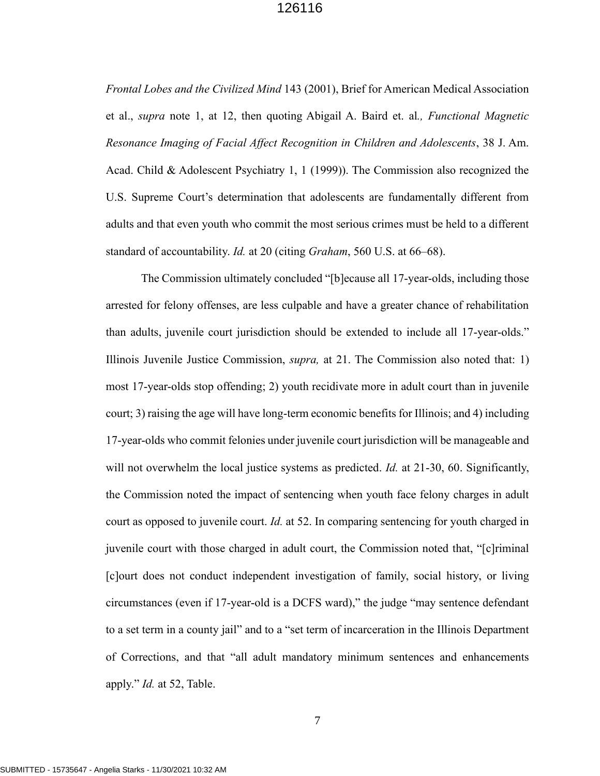*Frontal Lobes and the Civilized Mind* 143 (2001), Brief for American Medical Association et al., *supra* note 1, at 12, then quoting Abigail A. Baird et. al*., Functional Magnetic Resonance Imaging of Facial Affect Recognition in Children and Adolescents*, 38 J. Am. Acad. Child & Adolescent Psychiatry 1, 1 (1999)). The Commission also recognized the U.S. Supreme Court's determination that adolescents are fundamentally different from adults and that even youth who commit the most serious crimes must be held to a different standard of accountability. *Id.* at 20 (citing *Graham*, 560 U.S. at 66–68).

<span id="page-10-0"></span>The Commission ultimately concluded "[b]ecause all 17-year-olds, including those arrested for felony offenses, are less culpable and have a greater chance of rehabilitation than adults, juvenile court jurisdiction should be extended to include all 17-year-olds." Illinois Juvenile Justice Commission, *supra,* at 21. The Commission also noted that: 1) most 17-year-olds stop offending; 2) youth recidivate more in adult court than in juvenile court; 3) raising the age will have long-term economic benefits for Illinois; and 4) including 17-year-olds who commit felonies under juvenile court jurisdiction will be manageable and will not overwhelm the local justice systems as predicted. *Id.* at 21-30, 60. Significantly, the Commission noted the impact of sentencing when youth face felony charges in adult court as opposed to juvenile court. *Id.* at 52. In comparing sentencing for youth charged in juvenile court with those charged in adult court, the Commission noted that, "[c]riminal [c]ourt does not conduct independent investigation of family, social history, or living circumstances (even if 17-year-old is a DCFS ward)," the judge "may sentence defendant to a set term in a county jail" and to a "set term of incarceration in the Illinois Department of Corrections, and that "all adult mandatory minimum sentences and enhancements apply." *Id.* at 52, Table.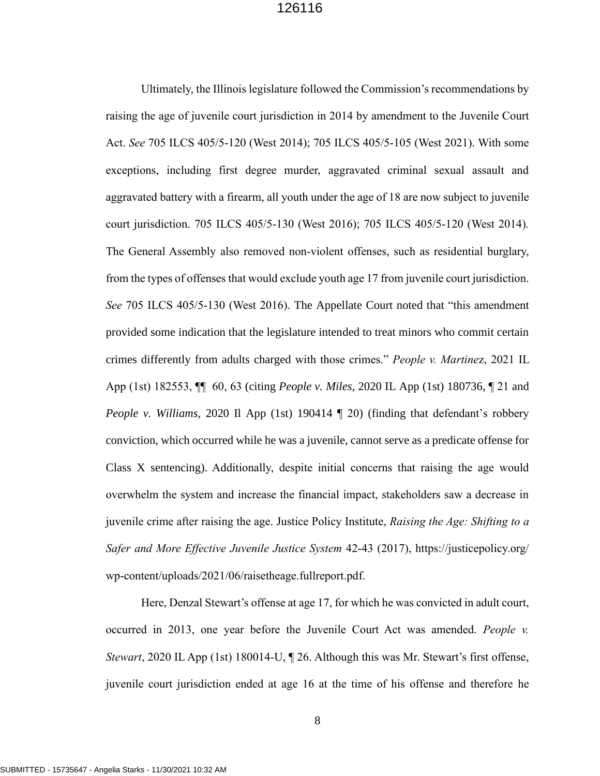<span id="page-11-2"></span><span id="page-11-1"></span><span id="page-11-0"></span>Ultimately, the Illinois legislature followed the Commission's recommendations by raising the age of juvenile court jurisdiction in 2014 by amendment to the Juvenile Court Act. *See* 705 ILCS 405/5-120 (West 2014); 705 ILCS 405/5-105 (West 2021). With some exceptions, including first degree murder, aggravated criminal sexual assault and aggravated battery with a firearm, all youth under the age of 18 are now subject to juvenile court jurisdiction. 705 ILCS 405/5-130 (West 2016); 705 ILCS 405/5-120 (West 2014)*.*  The General Assembly also removed non-violent offenses, such as residential burglary, from the types of offenses that would exclude youth age 17 from juvenile court jurisdiction. *See* 705 ILCS 405/5-130 (West 2016). The Appellate Court noted that "this amendment provided some indication that the legislature intended to treat minors who commit certain crimes differently from adults charged with those crimes." *People v. Martine*z, 2021 IL App (1st) 182553, ¶¶ 60, 63 (citing *People v. Miles*, 2020 IL App (1st) 180736, ¶ 21 and *People v. Williams,* 2020 Il App (1st) 190414 (20) (finding that defendant's robbery conviction, which occurred while he was a juvenile, cannot serve as a predicate offense for Class X sentencing). Additionally, despite initial concerns that raising the age would overwhelm the system and increase the financial impact, stakeholders saw a decrease in juvenile crime after raising the age. Justice Policy Institute, *Raising the Age: Shifting to a Safer and More Effective Juvenile Justice System* 42-43 (2017), https://justicepolicy.org/ wp-content/uploads/2021/06/raisetheage.fullreport.pdf.

<span id="page-11-5"></span><span id="page-11-4"></span><span id="page-11-3"></span>Here, Denzal Stewart's offense at age 17, for which he was convicted in adult court, occurred in 2013, one year before the Juvenile Court Act was amended. *People v. Stewart*, 2020 IL App (1st) 180014-U,  $\P$  26. Although this was Mr. Stewart's first offense, juvenile court jurisdiction ended at age 16 at the time of his offense and therefore he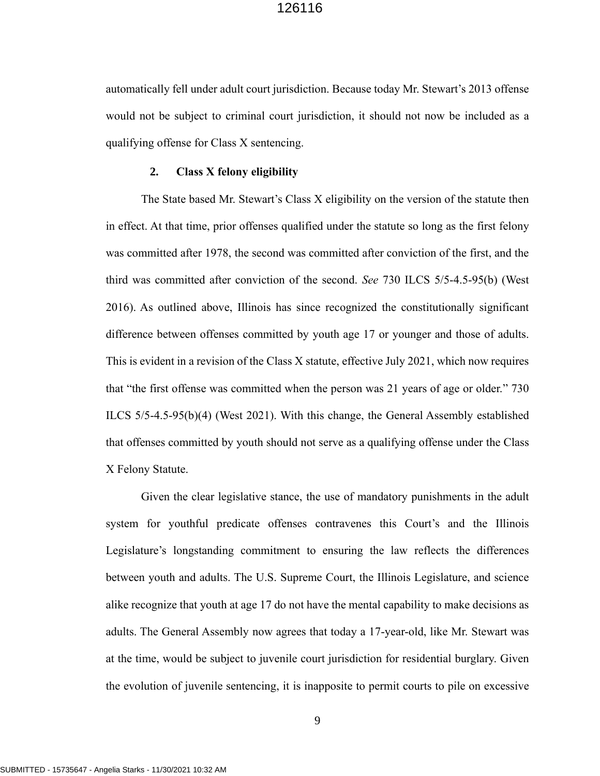automatically fell under adult court jurisdiction. Because today Mr. Stewart's 2013 offense would not be subject to criminal court jurisdiction, it should not now be included as a qualifying offense for Class X sentencing.

#### <span id="page-12-0"></span>**2. Class X felony eligibility**

The State based Mr. Stewart's Class X eligibility on the version of the statute then in effect. At that time, prior offenses qualified under the statute so long as the first felony was committed after 1978, the second was committed after conviction of the first, and the third was committed after conviction of the second. *See* 730 ILCS 5/5-4.5-95(b) (West 2016). As outlined above, Illinois has since recognized the constitutionally significant difference between offenses committed by youth age 17 or younger and those of adults. This is evident in a revision of the Class X statute, effective July 2021, which now requires that "the first offense was committed when the person was 21 years of age or older." 730 ILCS 5/5-4.5-95(b)(4) (West 2021). With this change, the General Assembly established that offenses committed by youth should not serve as a qualifying offense under the Class X Felony Statute.

Given the clear legislative stance, the use of mandatory punishments in the adult system for youthful predicate offenses contravenes this Court's and the Illinois Legislature's longstanding commitment to ensuring the law reflects the differences between youth and adults. The U.S. Supreme Court, the Illinois Legislature, and science alike recognize that youth at age 17 do not have the mental capability to make decisions as adults. The General Assembly now agrees that today a 17-year-old, like Mr. Stewart was at the time, would be subject to juvenile court jurisdiction for residential burglary. Given the evolution of juvenile sentencing, it is inapposite to permit courts to pile on excessive

<span id="page-12-1"></span>9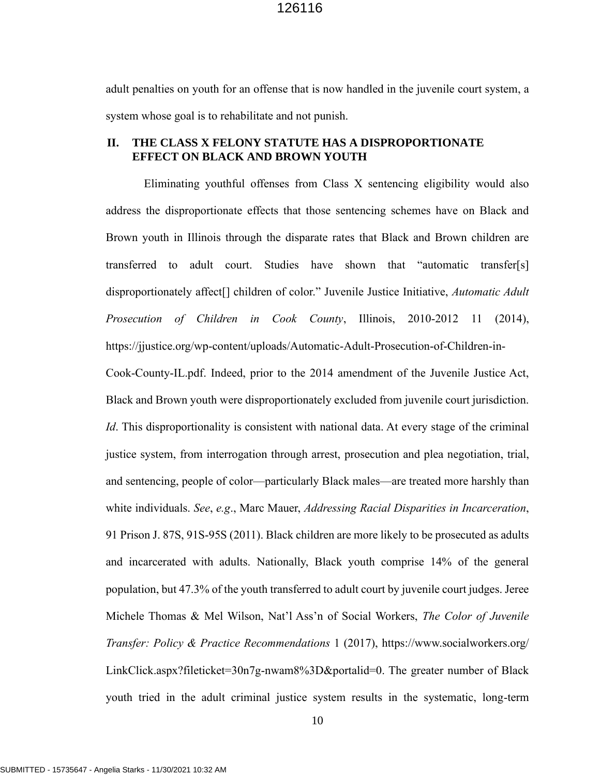adult penalties on youth for an offense that is now handled in the juvenile court system, a system whose goal is to rehabilitate and not punish.

#### **II. THE CLASS X FELONY STATUTE HAS A DISPROPORTIONATE EFFECT ON BLACK AND BROWN YOUTH**

<span id="page-13-2"></span><span id="page-13-1"></span><span id="page-13-0"></span>Eliminating youthful offenses from Class X sentencing eligibility would also address the disproportionate effects that those sentencing schemes have on Black and Brown youth in Illinois through the disparate rates that Black and Brown children are transferred to adult court. Studies have shown that "automatic transfer[s] disproportionately affect[] children of color." Juvenile Justice Initiative, *Automatic Adult Prosecution of Children in Cook County*, Illinois, 2010-2012 11 (2014), https://jjustice.org/wp-content/uploads/Automatic-Adult-Prosecution-of-Children-in-Cook-County-IL.pdf. Indeed, prior to the 2014 amendment of the Juvenile Justice Act, Black and Brown youth were disproportionately excluded from juvenile court jurisdiction. *Id*. This disproportionality is consistent with national data. At every stage of the criminal justice system, from interrogation through arrest, prosecution and plea negotiation, trial, and sentencing, people of color—particularly Black males—are treated more harshly than white individuals. *See*, *e.g*., Marc Mauer, *Addressing Racial Disparities in Incarceration*, 91 Prison J. 87S, 91S-95S (2011). Black children are more likely to be prosecuted as adults and incarcerated with adults. Nationally, Black youth comprise 14% of the general population, but 47.3% of the youth transferred to adult court by juvenile court judges. Jeree Michele Thomas & Mel Wilson, Nat'l Ass'n of Social Workers, *The Color of Juvenile Transfer: Policy & Practice Recommendations* 1 (2017), https://www.socialworkers.org/ LinkClick.aspx?fileticket=30n7g-nwam8%3D&portalid=0. The greater number of Black youth tried in the adult criminal justice system results in the systematic, long-term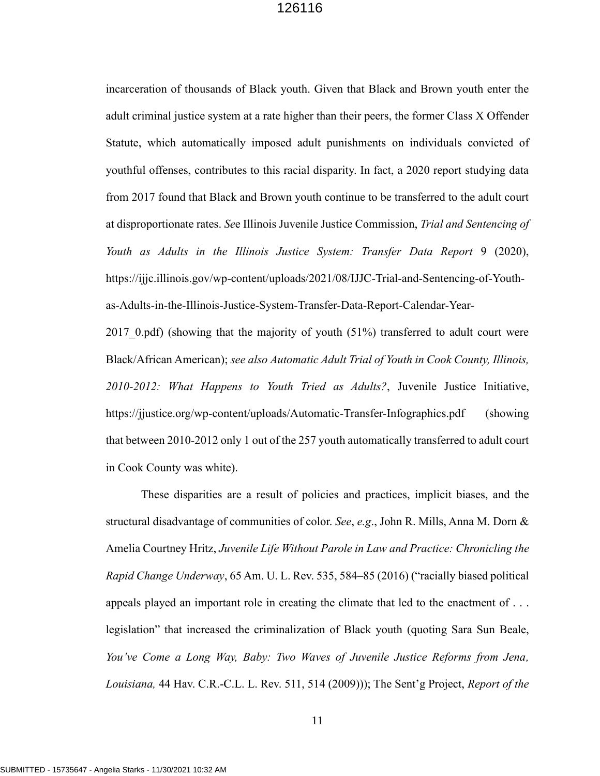<span id="page-14-0"></span>incarceration of thousands of Black youth. Given that Black and Brown youth enter the adult criminal justice system at a rate higher than their peers, the former Class X Offender Statute, which automatically imposed adult punishments on individuals convicted of youthful offenses, contributes to this racial disparity. In fact, a 2020 report studying data from 2017 found that Black and Brown youth continue to be transferred to the adult court at disproportionate rates. *Se*e Illinois Juvenile Justice Commission, *Trial and Sentencing of Youth as Adults in the Illinois Justice System: Transfer Data Report* 9 (2020), https://ijjc.illinois.gov/wp-content/uploads/2021/08/IJJC-Trial-and-Sentencing-of-Youthas-Adults-in-the-Illinois-Justice-System-Transfer-Data-Report-Calendar-Year-2017 0.pdf) (showing that the majority of youth (51%) transferred to adult court were Black/African American); *see also Automatic Adult Trial of Youth in Cook County, Illinois, 2010-2012: What Happens to Youth Tried as Adults?*, Juvenile Justice Initiative, https://jjustice.org/wp-content/uploads/Automatic-Transfer-Infographics.pdf (showing that between 2010-2012 only 1 out of the 257 youth automatically transferred to adult court in Cook County was white).

<span id="page-14-3"></span><span id="page-14-2"></span><span id="page-14-1"></span>These disparities are a result of policies and practices, implicit biases, and the structural disadvantage of communities of color. *See*, *e.g*., John R. Mills, Anna M. Dorn & Amelia Courtney Hritz, *Juvenile Life Without Parole in Law and Practice: Chronicling the Rapid Change Underway*, 65 Am. U. L. Rev. 535, 584–85 (2016) ("racially biased political appeals played an important role in creating the climate that led to the enactment of . . . legislation" that increased the criminalization of Black youth (quoting Sara Sun Beale, *You've Come a Long Way, Baby: Two Waves of Juvenile Justice Reforms from Jena, Louisiana,* 44 Hav. C.R.-C.L. L. Rev. 511, 514 (2009))); The Sent'g Project, *Report of the*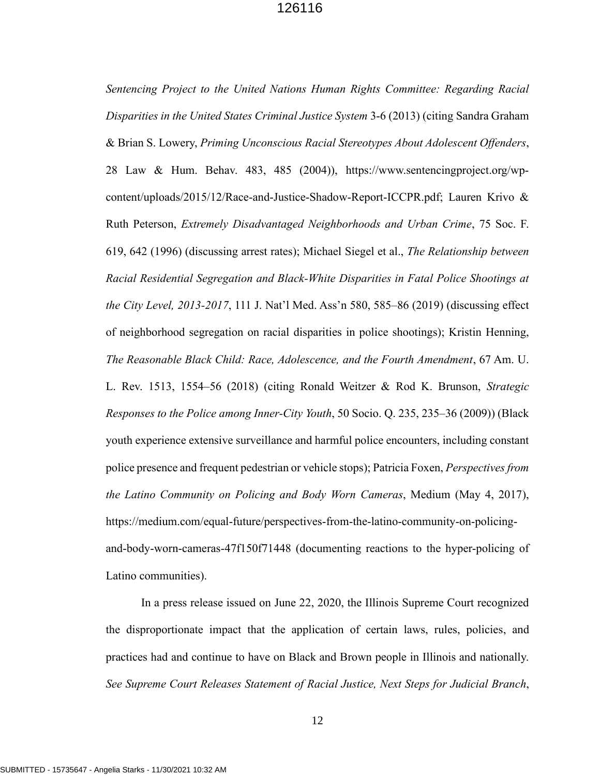<span id="page-15-2"></span><span id="page-15-1"></span><span id="page-15-0"></span>*Sentencing Project to the United Nations Human Rights Committee: Regarding Racial Disparities in the United States Criminal Justice System* 3-6 (2013) (citing Sandra Graham & Brian S. Lowery, *Priming Unconscious Racial Stereotypes About Adolescent Offenders*, 28 Law & Hum. Behav. 483, 485 (2004)), https://www.sentencingproject.org/wpcontent/uploads/2015/12/Race-and-Justice-Shadow-Report-ICCPR.pdf; Lauren Krivo & Ruth Peterson, *Extremely Disadvantaged Neighborhoods and Urban Crime*, 75 Soc. F. 619, 642 (1996) (discussing arrest rates); Michael Siegel et al., *The Relationship between Racial Residential Segregation and Black-White Disparities in Fatal Police Shootings at the City Level, 2013-2017*, 111 J. Nat'l Med. Ass'n 580, 585–86 (2019) (discussing effect of neighborhood segregation on racial disparities in police shootings); Kristin Henning, *The Reasonable Black Child: Race, Adolescence, and the Fourth Amendment*, 67 Am. U. L. Rev. 1513, 1554–56 (2018) (citing Ronald Weitzer & Rod K. Brunson, *Strategic Responses to the Police among Inner-City Youth*, 50 Socio. Q. 235, 235–36 (2009)) (Black youth experience extensive surveillance and harmful police encounters, including constant police presence and frequent pedestrian or vehicle stops); Patricia Foxen, *Perspectives from the Latino Community on Policing and Body Worn Cameras*, Medium (May 4, 2017), https://medium.com/equal-future/perspectives-from-the-latino-community-on-policingand-body-worn-cameras-47f150f71448 (documenting reactions to the hyper-policing of Latino communities).

<span id="page-15-4"></span><span id="page-15-3"></span>In a press release issued on June 22, 2020, the Illinois Supreme Court recognized the disproportionate impact that the application of certain laws, rules, policies, and practices had and continue to have on Black and Brown people in Illinois and nationally. *See Supreme Court Releases Statement of Racial Justice, Next Steps for Judicial Branch*,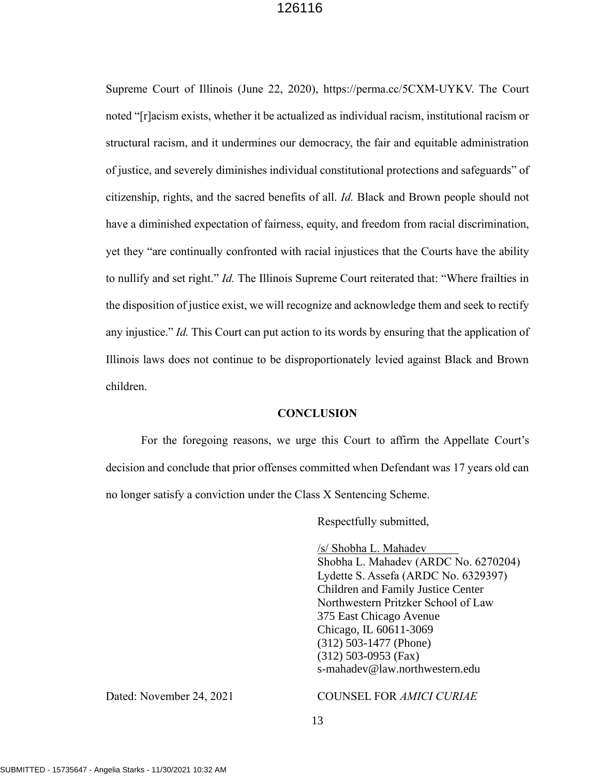Supreme Court of Illinois (June 22, 2020), https://perma.cc/5CXM-UYKV. The Court noted "[r]acism exists, whether it be actualized as individual racism, institutional racism or structural racism, and it undermines our democracy, the fair and equitable administration of justice, and severely diminishes individual constitutional protections and safeguards" of citizenship, rights, and the sacred benefits of all. *Id.* Black and Brown people should not have a diminished expectation of fairness, equity, and freedom from racial discrimination, yet they "are continually confronted with racial injustices that the Courts have the ability to nullify and set right." *Id.* The Illinois Supreme Court reiterated that: "Where frailties in the disposition of justice exist, we will recognize and acknowledge them and seek to rectify any injustice." *Id.* This Court can put action to its words by ensuring that the application of Illinois laws does not continue to be disproportionately levied against Black and Brown children.

#### **CONCLUSION**

For the foregoing reasons, we urge this Court to affirm the Appellate Court's decision and conclude that prior offenses committed when Defendant was 17 years old can no longer satisfy a conviction under the Class X Sentencing Scheme.

Respectfully submitted,

/s/ Shobha L. Mahadev Shobha L. Mahadev (ARDC No. 6270204) Lydette S. Assefa (ARDC No. 6329397) Children and Family Justice Center Northwestern Pritzker School of Law 375 East Chicago Avenue Chicago, IL 60611-3069 (312) 503-1477 (Phone) (312) 503-0953 (Fax) s-mahadev@law.northwestern.edu

#### Dated: November 24, 2021 COUNSEL FOR *AMICI CURIAE*